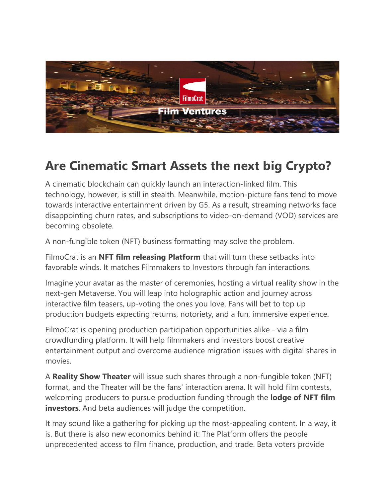

## **Are Cinematic Smart Assets the next big Crypto?**

A cinematic blockchain can quickly launch an interaction-linked film. This technology, however, is still in stealth. Meanwhile, motion-picture fans tend to move towards interactive entertainment driven by G5. As a result, streaming networks face disappointing churn rates, and subscriptions to video-on-demand (VOD) services are becoming obsolete.

A non-fungible token (NFT) business formatting may solve the problem.

FilmoCrat is an **NFT film releasing Platform** that will turn these setbacks into favorable winds. It matches Filmmakers to Investors through fan interactions.

Imagine your avatar as the master of ceremonies, hosting a virtual reality show in the next-gen Metaverse. You will leap into holographic action and journey across interactive film teasers, up-voting the ones you love. Fans will bet to top up production budgets expecting returns, notoriety, and a fun, immersive experience.

FilmoCrat is opening production participation opportunities alike - via a film crowdfunding platform. It will help filmmakers and investors boost creative entertainment output and overcome audience migration issues with digital shares in movies.

A **Reality Show Theater** will issue such shares through a non-fungible token (NFT) format, and the Theater will be the fans' interaction arena. It will hold film contests, welcoming producers to pursue production funding through the **lodge of NFT film investors**. And beta audiences will judge the competition.

It may sound like a gathering for picking up the most-appealing content. In a way, it is. But there is also new economics behind it: The Platform offers the people unprecedented access to film finance, production, and trade. Beta voters provide